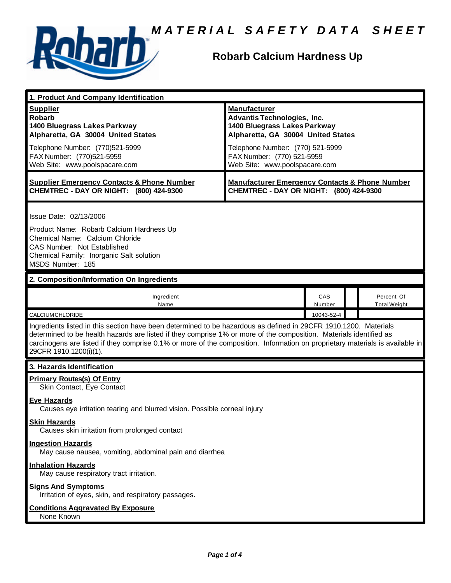

### **Robarb Calcium Hardness Up**

| 1. Product And Company Identification                                                                                                                                                                                                                                                                                                                                                                                                                                                        |                                                                                                                                                                                                                                    |               |                                   |
|----------------------------------------------------------------------------------------------------------------------------------------------------------------------------------------------------------------------------------------------------------------------------------------------------------------------------------------------------------------------------------------------------------------------------------------------------------------------------------------------|------------------------------------------------------------------------------------------------------------------------------------------------------------------------------------------------------------------------------------|---------------|-----------------------------------|
| <b>Supplier</b><br><b>Robarb</b><br>1400 Bluegrass Lakes Parkway<br>Alpharetta, GA 30004 United States<br>Telephone Number: (770)521-5999<br>FAX Number: (770)521-5959<br>Web Site: www.poolspacare.com                                                                                                                                                                                                                                                                                      | <b>Manufacturer</b><br><b>Advantis Technologies, Inc.</b><br>1400 Bluegrass Lakes Parkway<br>Alpharetta, GA 30004 United States<br>Telephone Number: (770) 521-5999<br>FAX Number: (770) 521-5959<br>Web Site: www.poolspacare.com |               |                                   |
| <b>Supplier Emergency Contacts &amp; Phone Number</b><br>CHEMTREC - DAY OR NIGHT: (800) 424-9300                                                                                                                                                                                                                                                                                                                                                                                             | <b>Manufacturer Emergency Contacts &amp; Phone Number</b><br>CHEMTREC - DAY OR NIGHT: (800) 424-9300                                                                                                                               |               |                                   |
| Issue Date: 02/13/2006<br>Product Name: Robarb Calcium Hardness Up<br>Chemical Name: Calcium Chloride<br>CAS Number: Not Established<br>Chemical Family: Inorganic Salt solution<br>MSDS Number: 185                                                                                                                                                                                                                                                                                         |                                                                                                                                                                                                                                    |               |                                   |
| 2. Composition/Information On Ingredients                                                                                                                                                                                                                                                                                                                                                                                                                                                    |                                                                                                                                                                                                                                    |               |                                   |
| Ingredient<br>Name                                                                                                                                                                                                                                                                                                                                                                                                                                                                           |                                                                                                                                                                                                                                    | CAS<br>Number | Percent Of<br><b>Total Weight</b> |
| <b>CALCIUM CHLORIDE</b>                                                                                                                                                                                                                                                                                                                                                                                                                                                                      |                                                                                                                                                                                                                                    | 10043-52-4    |                                   |
| Ingredients listed in this section have been determined to be hazardous as defined in 29CFR 1910.1200. Materials<br>determined to be health hazards are listed if they comprise 1% or more of the composition. Materials identified as<br>carcinogens are listed if they comprise 0.1% or more of the composition. Information on proprietary materials is available in<br>29CFR 1910.1200(i)(1).                                                                                            |                                                                                                                                                                                                                                    |               |                                   |
| 3. Hazards Identification                                                                                                                                                                                                                                                                                                                                                                                                                                                                    |                                                                                                                                                                                                                                    |               |                                   |
| <b>Primary Routes(s) Of Entry</b><br>Skin Contact, Eye Contact<br><b>Eye Hazards</b><br>Causes eye irritation tearing and blurred vision. Possible corneal injury<br><b>Skin Hazards</b><br>Causes skin irritation from prolonged contact<br><b>Ingestion Hazards</b><br>May cause nausea, vomiting, abdominal pain and diarrhea<br><b>Inhalation Hazards</b><br>May cause respiratory tract irritation.<br><b>Signs And Symptoms</b><br>Irritation of eyes, skin, and respiratory passages. |                                                                                                                                                                                                                                    |               |                                   |
| <b>Conditions Aggravated By Exposure</b><br>None Known                                                                                                                                                                                                                                                                                                                                                                                                                                       |                                                                                                                                                                                                                                    |               |                                   |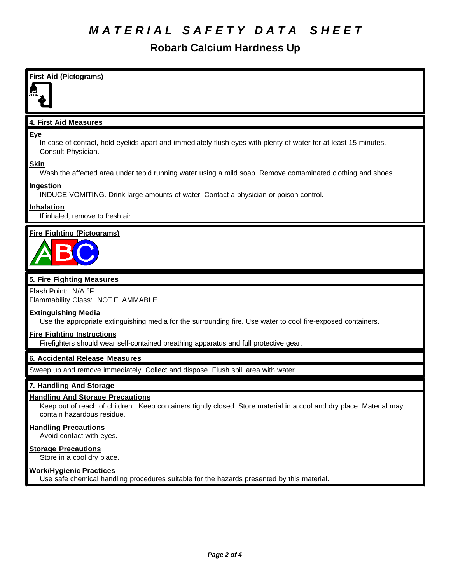### **Robarb Calcium Hardness Up**



Avoid contact with eyes.

#### **Storage Precautions**

Store in a cool dry place.

#### **Work/Hygienic Practices**

Use safe chemical handling procedures suitable for the hazards presented by this material.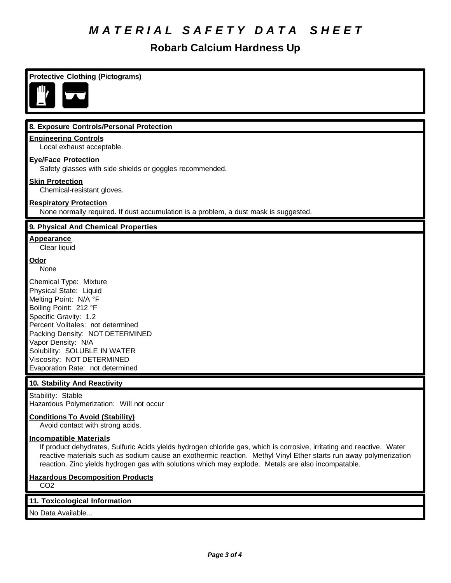## **Robarb Calcium Hardness Up**

| <b>Protective Clothing (Pictograms)</b>                                                                                                                                                                                                                                                                                                                                                                                |
|------------------------------------------------------------------------------------------------------------------------------------------------------------------------------------------------------------------------------------------------------------------------------------------------------------------------------------------------------------------------------------------------------------------------|
| NI.                                                                                                                                                                                                                                                                                                                                                                                                                    |
| 8. Exposure Controls/Personal Protection                                                                                                                                                                                                                                                                                                                                                                               |
| <b>Engineering Controls</b><br>Local exhaust acceptable.                                                                                                                                                                                                                                                                                                                                                               |
| <b>Eye/Face Protection</b><br>Safety glasses with side shields or goggles recommended.                                                                                                                                                                                                                                                                                                                                 |
| <b>Skin Protection</b><br>Chemical-resistant gloves.                                                                                                                                                                                                                                                                                                                                                                   |
| <b>Respiratory Protection</b><br>None normally required. If dust accumulation is a problem, a dust mask is suggested.                                                                                                                                                                                                                                                                                                  |
| 9. Physical And Chemical Properties                                                                                                                                                                                                                                                                                                                                                                                    |
| <b>Appearance</b><br>Clear liquid                                                                                                                                                                                                                                                                                                                                                                                      |
| Odor<br>None                                                                                                                                                                                                                                                                                                                                                                                                           |
| Chemical Type: Mixture<br>Physical State: Liquid<br>Melting Point: N/A °F<br>Boiling Point: 212 °F<br>Specific Gravity: 1.2<br>Percent Volitales: not determined<br>Packing Density: NOT DETERMINED<br>Vapor Density: N/A<br>Solubility: SOLUBLE IN WATER<br>Viscosity: NOT DETERMINED<br>Evaporation Rate: not determined                                                                                             |
| 10. Stability And Reactivity                                                                                                                                                                                                                                                                                                                                                                                           |
| Stability: Stable<br>Hazardous Polymerization: Will not occur<br><b>Conditions To Avoid (Stability)</b>                                                                                                                                                                                                                                                                                                                |
| Avoid contact with strong acids.<br><b>Incompatible Materials</b><br>If product dehydrates, Sulfuric Acids yields hydrogen chloride gas, which is corrosive, irritating and reactive. Water<br>reactive materials such as sodium cause an exothermic reaction. Methyl Vinyl Ether starts run away polymerization<br>reaction. Zinc yields hydrogen gas with solutions which may explode. Metals are also incompatable. |
| <b>Hazardous Decomposition Products</b><br>CO <sub>2</sub>                                                                                                                                                                                                                                                                                                                                                             |
| 11. Toxicological Information                                                                                                                                                                                                                                                                                                                                                                                          |
| No Data Available                                                                                                                                                                                                                                                                                                                                                                                                      |